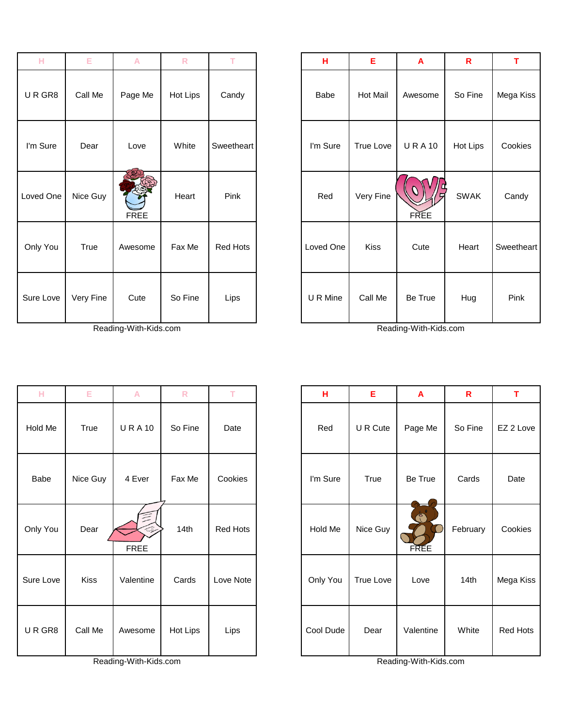| н         | E.        | A           | $\mathsf{R}$ | T          | н         | Ε         | $\mathbf{A}$ | $\mathbf R$ | T.            |
|-----------|-----------|-------------|--------------|------------|-----------|-----------|--------------|-------------|---------------|
| URGR8     | Call Me   | Page Me     | Hot Lips     | Candy      | Babe      | Hot Mail  | Awesome      | So Fine     | Mega K        |
| I'm Sure  | Dear      | Love        | White        | Sweetheart | I'm Sure  | True Love | <b>URA10</b> | Hot Lips    | Cooki         |
| Loved One | Nice Guy  | <b>FREE</b> | Heart        | Pink       | Red       | Very Fine | <b>FREE</b>  | <b>SWAK</b> | Cand          |
| Only You  | True      | Awesome     | Fax Me       | Red Hots   | Loved One | Kiss      | Cute         | Heart       | <b>Sweeth</b> |
| Sure Love | Very Fine | Cute        | So Fine      | Lips       | U R Mine  | Call Me   | Be True      | Hug         | Pink          |

Reading-With-Kids.com Reading-With-Kids.com

| н         | Е         | $\mathsf{A}$ | $\mathsf{R}$ | T          | н         | Е         | A            | $\mathsf{R}$ | T          |
|-----------|-----------|--------------|--------------|------------|-----------|-----------|--------------|--------------|------------|
| URGR8     | Call Me   | Page Me      | Hot Lips     | Candy      | Babe      | Hot Mail  | Awesome      | So Fine      | Mega Kiss  |
| I'm Sure  | Dear      | Love         | White        | Sweetheart | I'm Sure  | True Love | <b>URA10</b> | Hot Lips     | Cookies    |
| oved One  | Nice Guy  | <b>FREE</b>  | Heart        | Pink       | Red       | Very Fine | <b>FREE</b>  | <b>SWAK</b>  | Candy      |
| Only You  | True      | Awesome      | Fax Me       | Red Hots   | Loved One | Kiss      | Cute         | Heart        | Sweetheart |
| Sure Love | Very Fine | Cute         | So Fine      | Lips       | U R Mine  | Call Me   | Be True      | Hug          | Pink       |

| н         | Е           | A                      | $\mathsf{R}$ | T.        | н         | E         | A                                  | $\mathbf R$ | T               |
|-----------|-------------|------------------------|--------------|-----------|-----------|-----------|------------------------------------|-------------|-----------------|
| Hold Me   | True        | <b>URA10</b>           | So Fine      | Date      | Red       | U R Cute  | Page Me                            | So Fine     | EZ 2 Love       |
| Babe      | Nice Guy    | 4 Ever                 | Fax Me       | Cookies   | I'm Sure  | True      | Be True                            | Cards       | Date            |
| Only You  | Dear        | 亖<br>Â,<br><b>FREE</b> | 14th         | Red Hots  | Hold Me   | Nice Guy  | $\ddot{\textbf{O}}$<br><b>FREE</b> | February    | Cookies         |
| Sure Love | <b>Kiss</b> | Valentine              | Cards        | Love Note | Only You  | True Love | Love                               | 14th        | Mega Kiss       |
| URGR8     | Call Me     | Awesome                | Hot Lips     | Lips      | Cool Dude | Dear      | Valentine                          | White       | <b>Red Hots</b> |

Reading-With-Kids.com Reading-With-Kids.com

| н         | Е                | A         | R        | т         |
|-----------|------------------|-----------|----------|-----------|
| Red       | U R Cute         | Page Me   | So Fine  | EZ 2 Love |
| I'm Sure  | True             | Be True   | Cards    | Date      |
| Hold Me   | Nice Guy         | ۴<br>FREE | February | Cookies   |
| Only You  | <b>True Love</b> | Love      | 14th     | Mega Kiss |
| Cool Dude | Dear             | Valentine | White    | Red Hots  |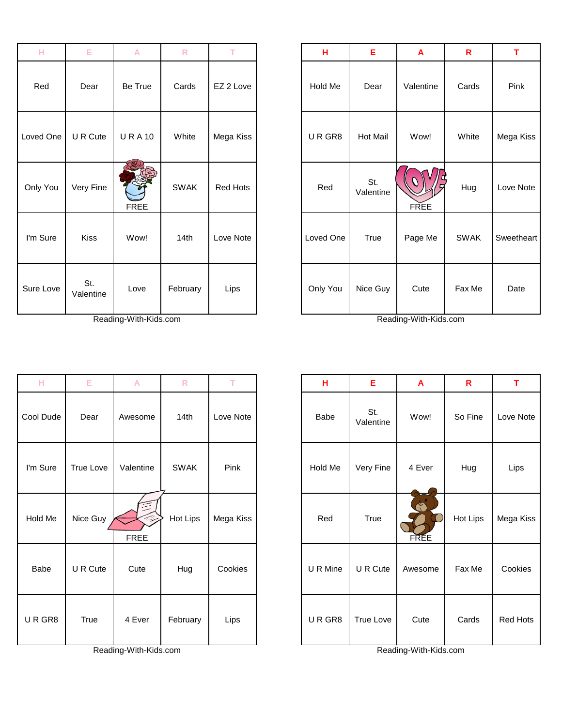| н         | Е                | A            | R           | т         | н         | Е.             |
|-----------|------------------|--------------|-------------|-----------|-----------|----------------|
| Red       | Dear             | Be True      | Cards       | EZ 2 Love | Hold Me   | Dea            |
| Loved One | U R Cute         | <b>URA10</b> | White       | Mega Kiss | URGR8     | Hot M          |
| Only You  | Very Fine        | <b>FREE</b>  | <b>SWAK</b> | Red Hots  | Red       | St.<br>Valenti |
| I'm Sure  | <b>Kiss</b>      | Wow!         | 14th        | Love Note | Loved One | True           |
| Sure Love | St.<br>Valentine | Love         | February    | Lips      | Only You  | Nice G         |

Reading-With-Kids.com Reading-With-Kids.com

| н         | Е         | A                     | ${\sf R}$   | т         | н        | Е                | A                     | $\mathbf R$ | T.     |
|-----------|-----------|-----------------------|-------------|-----------|----------|------------------|-----------------------|-------------|--------|
| Cool Dude | Dear      | Awesome               | 14th        | Love Note | Babe     | St.<br>Valentine | Wow!                  | So Fine     | Love N |
| I'm Sure  | True Love | Valentine             | <b>SWAK</b> | Pink      | Hold Me  | Very Fine        | 4 Ever                | Hug         | Lips   |
| Hold Me   | Nice Guy  | 64<br><b>FREE</b>     | Hot Lips    | Mega Kiss | Red      | <b>True</b>      | <b>FREE</b>           | Hot Lips    | Mega k |
| Babe      | U R Cute  | Cute                  | Hug         | Cookies   | U R Mine | U R Cute         | Awesome               | Fax Me      | Cooki  |
| URGR8     | True      | 4 Ever                | February    | Lips      | URGR8    | True Love        | Cute                  | Cards       | Red H  |
|           |           | Reading-With-Kids.com |             |           |          |                  | Reading-With-Kids.com |             |        |

| н         | E                | A            | $\mathsf{R}$ | т               | Н         | E                | A                | $\mathbf R$ | T          |
|-----------|------------------|--------------|--------------|-----------------|-----------|------------------|------------------|-------------|------------|
| Red       | Dear             | Be True      | Cards        | EZ 2 Love       | Hold Me   | Dear             | Valentine        | Cards       | Pink       |
| Loved One | U R Cute         | <b>URA10</b> | White        | Mega Kiss       | URGR8     | <b>Hot Mail</b>  | Wow!             | White       | Mega Kiss  |
| Only You  | Very Fine        | <b>FREE</b>  | <b>SWAK</b>  | <b>Red Hots</b> | Red       | St.<br>Valentine | Ω<br><b>FREE</b> | Hug         | Love Note  |
| I'm Sure  | <b>Kiss</b>      | Wow!         | 14th         | Love Note       | Loved One | True             | Page Me          | <b>SWAK</b> | Sweetheart |
| Sure Love | St.<br>Valentine | Love         | February     | Lips            | Only You  | Nice Guy         | Cute             | Fax Me      | Date       |

| н           | Е         | $\mathsf{A}$      | $\overline{\mathsf{R}}$ | T.        | H        | E                | $\overline{\mathsf{A}}$ | $\mathbf R$ | T               |
|-------------|-----------|-------------------|-------------------------|-----------|----------|------------------|-------------------------|-------------|-----------------|
| Cool Dude   | Dear      | Awesome           | 14th                    | Love Note | Babe     | St.<br>Valentine | Wow!                    | So Fine     | Love Note       |
| I'm Sure    | True Love | Valentine         | <b>SWAK</b>             | Pink      | Hold Me  | Very Fine        | 4 Ever                  | Hug         | Lips            |
| Hold Me     | Nice Guy  | 34<br><b>FREE</b> | Hot Lips                | Mega Kiss | Red      | True             | d.<br><b>FREE</b>       | Hot Lips    | Mega Kiss       |
| <b>Babe</b> | U R Cute  | Cute              | Hug                     | Cookies   | U R Mine | U R Cute         | Awesome                 | Fax Me      | Cookies         |
| URGR8       | True      | 4 Ever            | February                | Lips      | URGR8    | True Love        | Cute                    | Cards       | <b>Red Hots</b> |